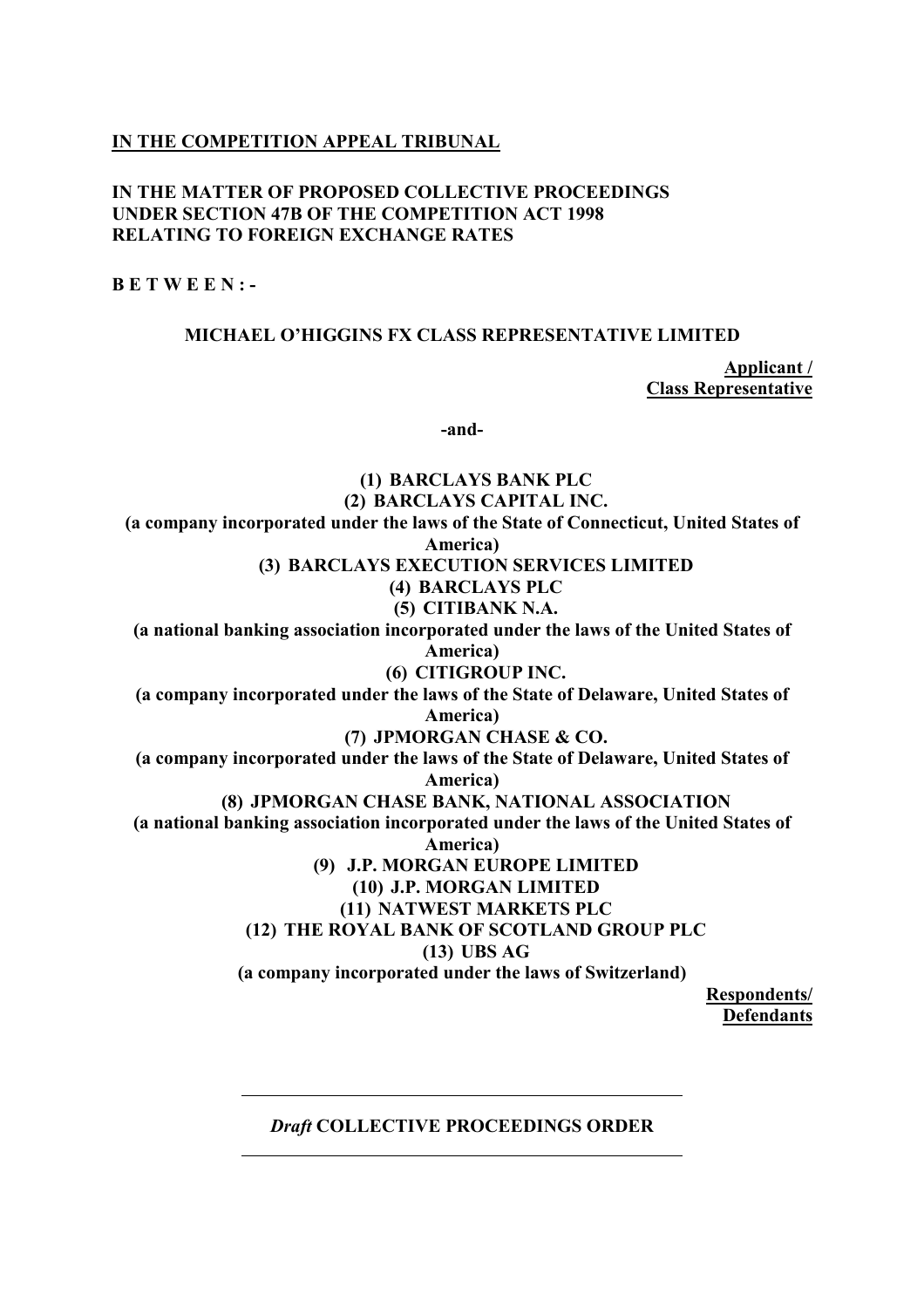## **IN THE COMPETITION APPEAL TRIBUNAL**

#### **IN THE MATTER OF PROPOSED COLLECTIVE PROCEEDINGS UNDER SECTION 47B OF THE COMPETITION ACT 1998 RELATING TO FOREIGN EXCHANGE RATES**

**B E T W E E N : -** 

#### **MICHAEL O'HIGGINS FX CLASS REPRESENTATIVE LIMITED**

**Applicant / Class Representative** 

**-and-** 

**(1) BARCLAYS BANK PLC (2) BARCLAYS CAPITAL INC. (a company incorporated under the laws of the State of Connecticut, United States of America) (3) BARCLAYS EXECUTION SERVICES LIMITED (4) BARCLAYS PLC (5) CITIBANK N.A. (a national banking association incorporated under the laws of the United States of America) (6) CITIGROUP INC. (a company incorporated under the laws of the State of Delaware, United States of America) (7) JPMORGAN CHASE & CO. (a company incorporated under the laws of the State of Delaware, United States of America) (8) JPMORGAN CHASE BANK, NATIONAL ASSOCIATION (a national banking association incorporated under the laws of the United States of America) (9) J.P. MORGAN EUROPE LIMITED (10) J.P. MORGAN LIMITED (11) NATWEST MARKETS PLC (12) THE ROYAL BANK OF SCOTLAND GROUP PLC (13) UBS AG (a company incorporated under the laws of Switzerland) Respondents/ Defendants** 

# *Draft* **COLLECTIVE PROCEEDINGS ORDER**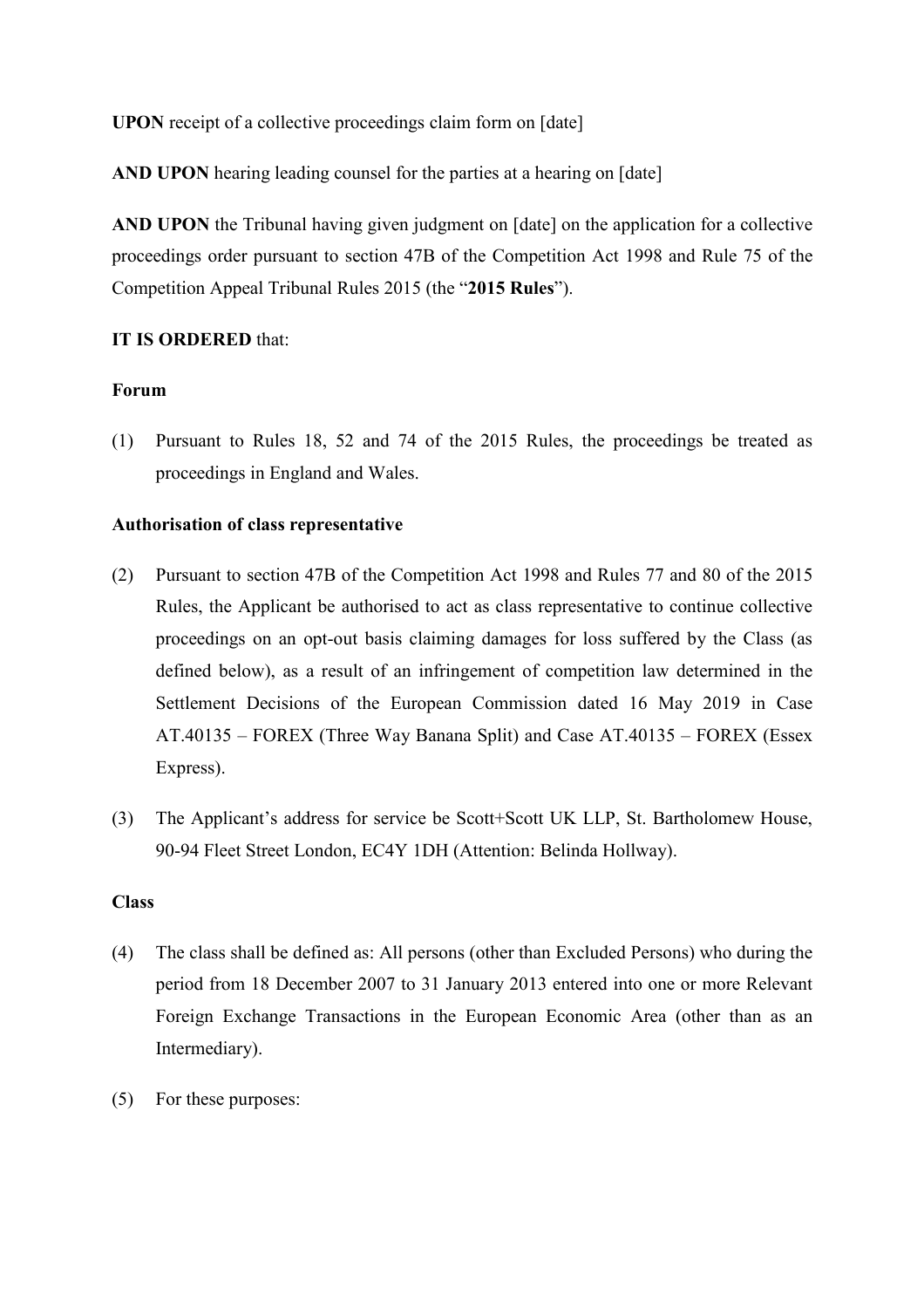**UPON** receipt of a collective proceedings claim form on [date]

**AND UPON** hearing leading counsel for the parties at a hearing on [date]

**AND UPON** the Tribunal having given judgment on [date] on the application for a collective proceedings order pursuant to section 47B of the Competition Act 1998 and Rule 75 of the Competition Appeal Tribunal Rules 2015 (the "**2015 Rules**").

## **IT IS ORDERED** that:

## **Forum**

(1) Pursuant to Rules 18, 52 and 74 of the 2015 Rules, the proceedings be treated as proceedings in England and Wales.

## **Authorisation of class representative**

- (2) Pursuant to section 47B of the Competition Act 1998 and Rules 77 and 80 of the 2015 Rules, the Applicant be authorised to act as class representative to continue collective proceedings on an opt-out basis claiming damages for loss suffered by the Class (as defined below), as a result of an infringement of competition law determined in the Settlement Decisions of the European Commission dated 16 May 2019 in Case AT.40135 – FOREX (Three Way Banana Split) and Case AT.40135 – FOREX (Essex Express).
- (3) The Applicant's address for service be Scott+Scott UK LLP, St. Bartholomew House, 90-94 Fleet Street London, EC4Y 1DH (Attention: Belinda Hollway).

#### **Class**

- (4) The class shall be defined as: All persons (other than Excluded Persons) who during the period from 18 December 2007 to 31 January 2013 entered into one or more Relevant Foreign Exchange Transactions in the European Economic Area (other than as an Intermediary).
- (5) For these purposes: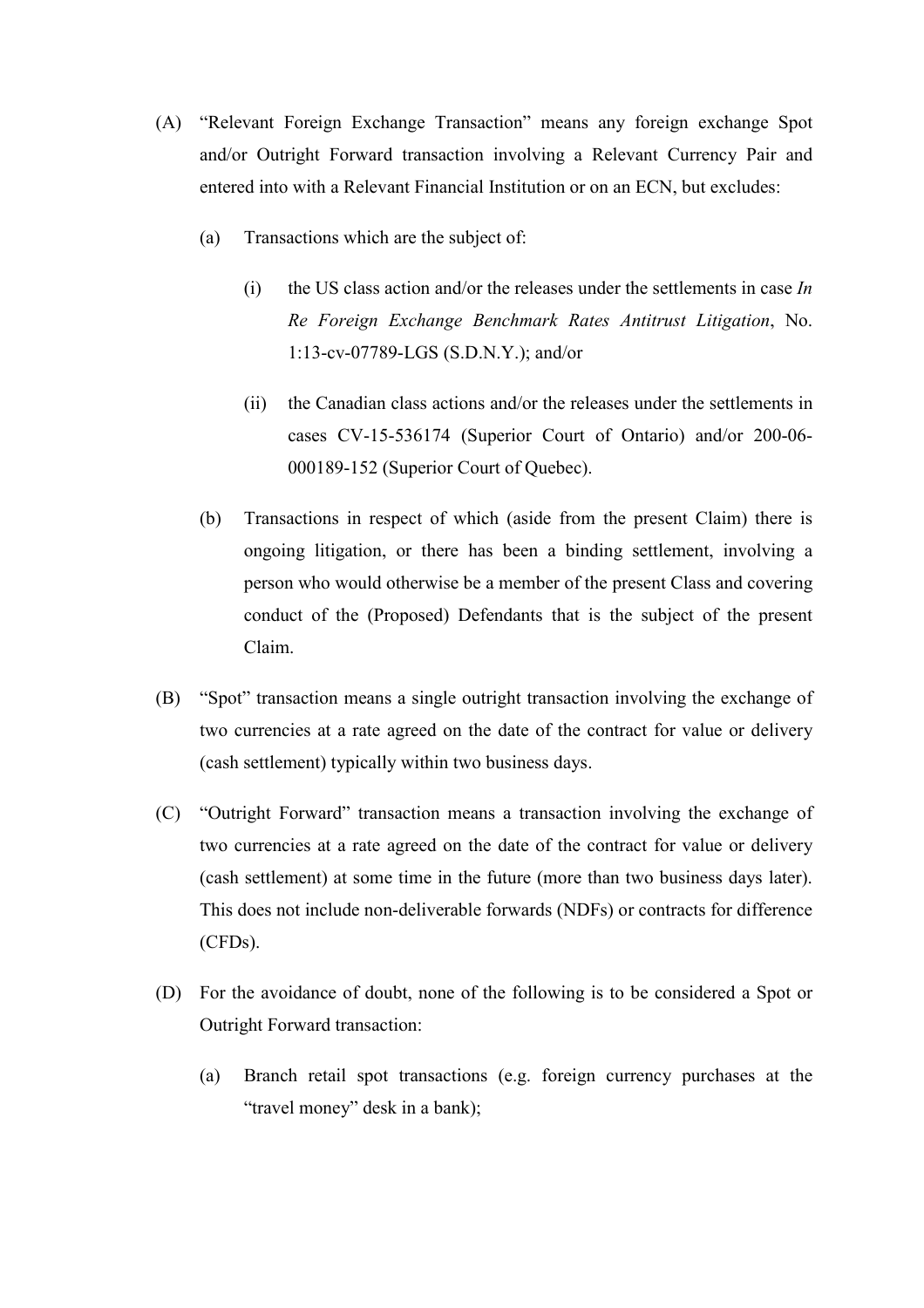- (A) "Relevant Foreign Exchange Transaction" means any foreign exchange Spot and/or Outright Forward transaction involving a Relevant Currency Pair and entered into with a Relevant Financial Institution or on an ECN, but excludes:
	- (a) Transactions which are the subject of:
		- (i) the US class action and/or the releases under the settlements in case *In Re Foreign Exchange Benchmark Rates Antitrust Litigation*, No. 1:13-cv-07789-LGS (S.D.N.Y.); and/or
		- (ii) the Canadian class actions and/or the releases under the settlements in cases CV-15-536174 (Superior Court of Ontario) and/or 200-06- 000189-152 (Superior Court of Quebec).
	- (b) Transactions in respect of which (aside from the present Claim) there is ongoing litigation, or there has been a binding settlement, involving a person who would otherwise be a member of the present Class and covering conduct of the (Proposed) Defendants that is the subject of the present Claim.
- (B) "Spot" transaction means a single outright transaction involving the exchange of two currencies at a rate agreed on the date of the contract for value or delivery (cash settlement) typically within two business days.
- (C) "Outright Forward" transaction means a transaction involving the exchange of two currencies at a rate agreed on the date of the contract for value or delivery (cash settlement) at some time in the future (more than two business days later). This does not include non-deliverable forwards (NDFs) or contracts for difference (CFDs).
- (D) For the avoidance of doubt, none of the following is to be considered a Spot or Outright Forward transaction:
	- (a) Branch retail spot transactions (e.g. foreign currency purchases at the "travel money" desk in a bank);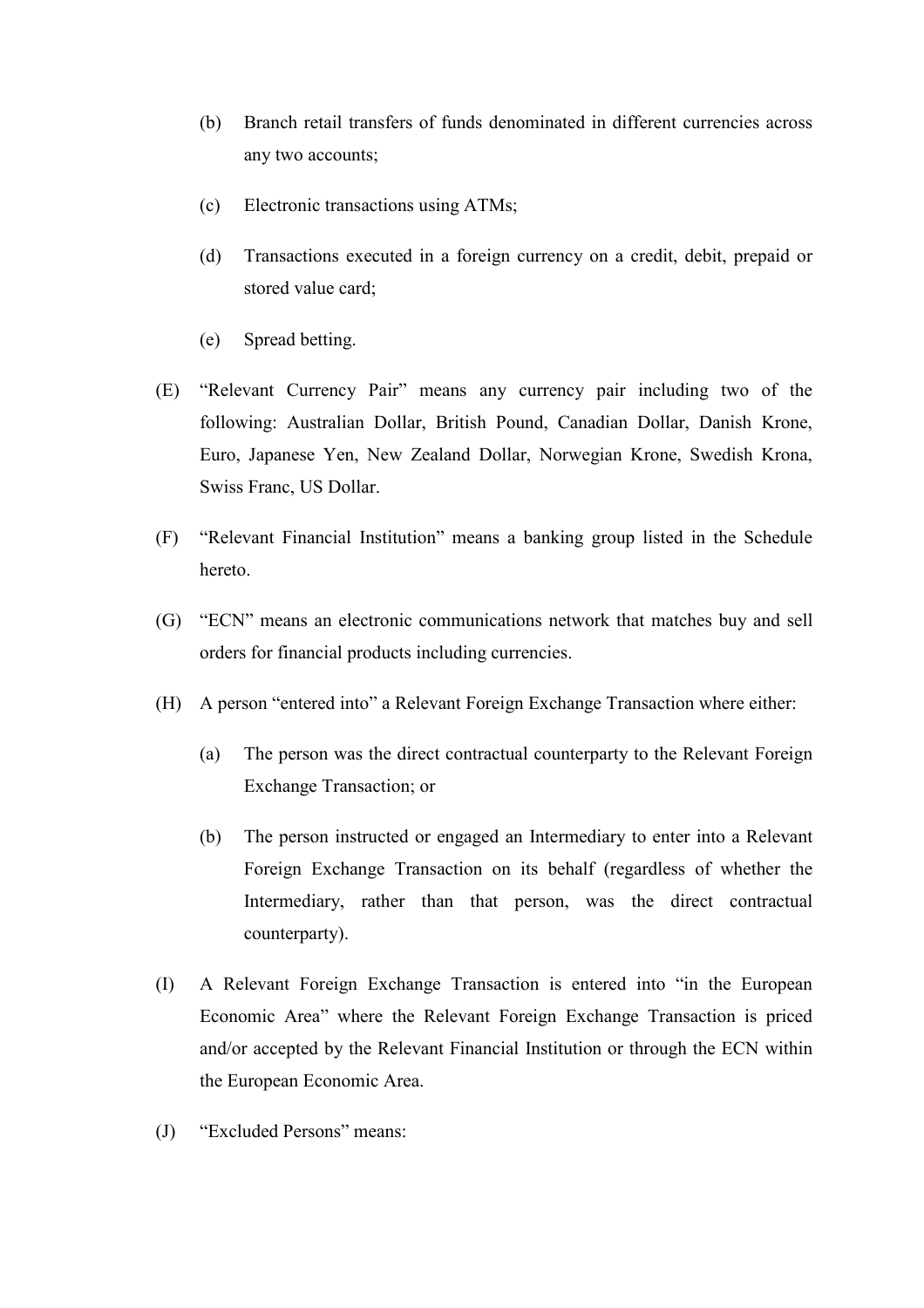- (b) Branch retail transfers of funds denominated in different currencies across any two accounts;
- (c) Electronic transactions using ATMs;
- (d) Transactions executed in a foreign currency on a credit, debit, prepaid or stored value card;
- (e) Spread betting.
- (E) "Relevant Currency Pair" means any currency pair including two of the following: Australian Dollar, British Pound, Canadian Dollar, Danish Krone, Euro, Japanese Yen, New Zealand Dollar, Norwegian Krone, Swedish Krona, Swiss Franc, US Dollar.
- (F) "Relevant Financial Institution" means a banking group listed in the Schedule hereto.
- (G) "ECN" means an electronic communications network that matches buy and sell orders for financial products including currencies.
- (H) A person "entered into" a Relevant Foreign Exchange Transaction where either:
	- (a) The person was the direct contractual counterparty to the Relevant Foreign Exchange Transaction; or
	- (b) The person instructed or engaged an Intermediary to enter into a Relevant Foreign Exchange Transaction on its behalf (regardless of whether the Intermediary, rather than that person, was the direct contractual counterparty).
- (I) A Relevant Foreign Exchange Transaction is entered into "in the European Economic Area" where the Relevant Foreign Exchange Transaction is priced and/or accepted by the Relevant Financial Institution or through the ECN within the European Economic Area.
- (J) "Excluded Persons" means: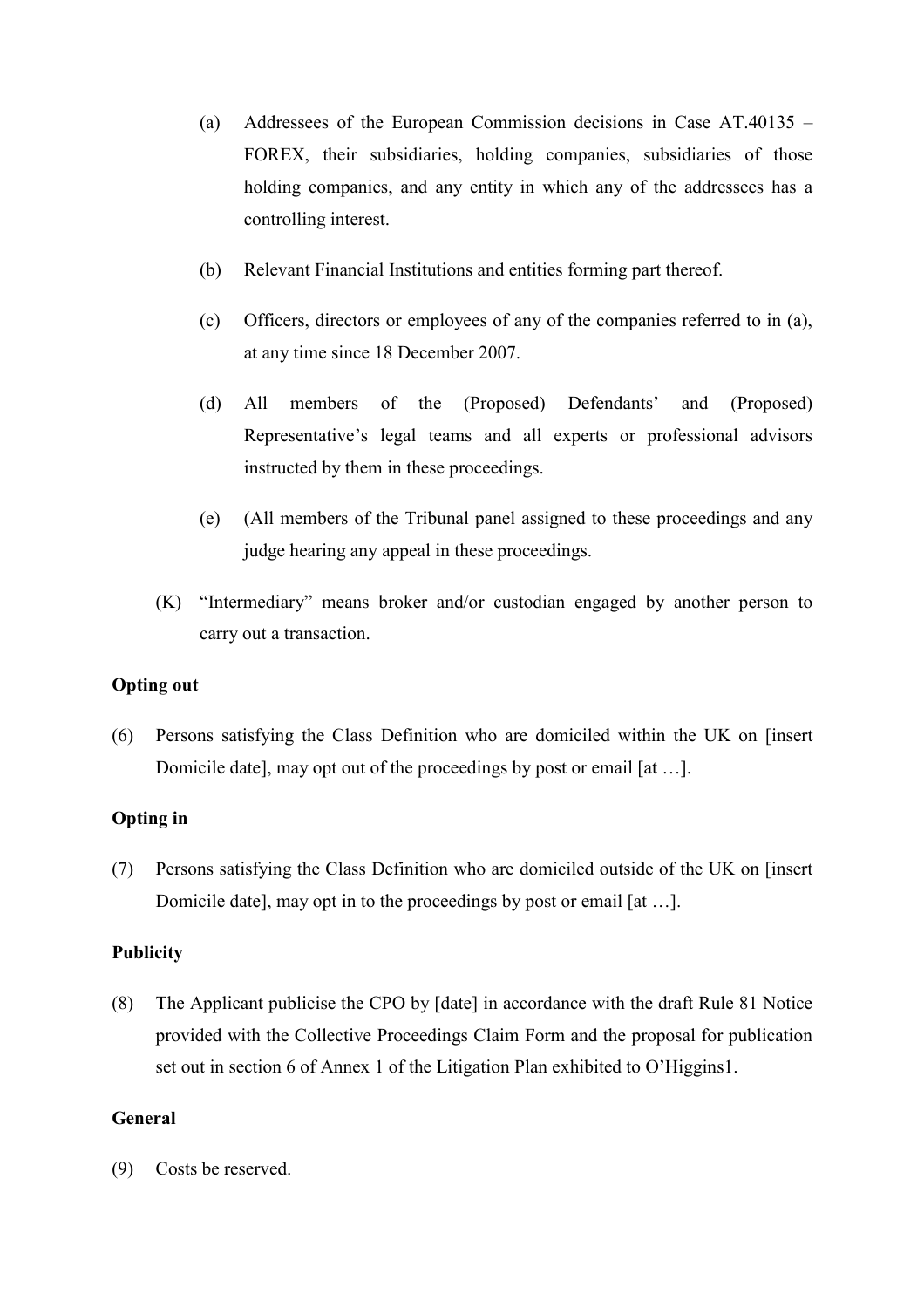- (a) Addressees of the European Commission decisions in Case AT.40135 FOREX, their subsidiaries, holding companies, subsidiaries of those holding companies, and any entity in which any of the addressees has a controlling interest.
- (b) Relevant Financial Institutions and entities forming part thereof.
- (c) Officers, directors or employees of any of the companies referred to in (a), at any time since 18 December 2007.
- (d) All members of the (Proposed) Defendants' and (Proposed) Representative's legal teams and all experts or professional advisors instructed by them in these proceedings.
- (e) (All members of the Tribunal panel assigned to these proceedings and any judge hearing any appeal in these proceedings.
- (K) "Intermediary" means broker and/or custodian engaged by another person to carry out a transaction.

#### **Opting out**

(6) Persons satisfying the Class Definition who are domiciled within the UK on [insert Domicile date], may opt out of the proceedings by post or email [at …].

# **Opting in**

(7) Persons satisfying the Class Definition who are domiciled outside of the UK on [insert Domicile date], may opt in to the proceedings by post or email [at …].

#### **Publicity**

(8) The Applicant publicise the CPO by [date] in accordance with the draft Rule 81 Notice provided with the Collective Proceedings Claim Form and the proposal for publication set out in section 6 of Annex 1 of the Litigation Plan exhibited to O'Higgins1.

## **General**

(9) Costs be reserved.